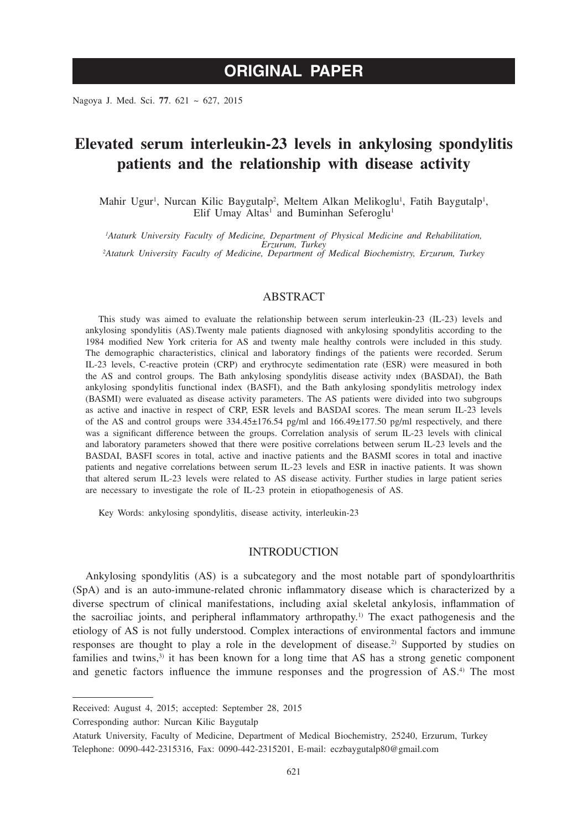# **ORIGINAL PAPER**

Nagoya J. Med. Sci. **77**. 621 ~ 627, 2015

# **Elevated serum interleukin-23 levels in ankylosing spondylitis patients and the relationship with disease activity**

Mahir Ugur<sup>1</sup>, Nurcan Kilic Baygutalp<sup>2</sup>, Meltem Alkan Melikoglu<sup>1</sup>, Fatih Baygutalp<sup>1</sup>, Elif Umay Altas<sup>1</sup> and Buminhan Seferoglu<sup>1</sup>

*1 Ataturk University Faculty of Medicine, Department of Physical Medicine and Rehabilitation, Erzurum, Turkey <sup>2</sup> Ataturk University Faculty of Medicine, Department of Medical Biochemistry, Erzurum, Turkey*

## ABSTRACT

This study was aimed to evaluate the relationship between serum interleukin-23 (IL-23) levels and ankylosing spondylitis (AS).Twenty male patients diagnosed with ankylosing spondylitis according to the 1984 modified New York criteria for AS and twenty male healthy controls were included in this study. The demographic characteristics, clinical and laboratory findings of the patients were recorded. Serum IL-23 levels, C-reactive protein (CRP) and erythrocyte sedimentation rate (ESR) were measured in both the AS and control groups. The Bath ankylosing spondylitis disease activity ındex (BASDAI), the Bath ankylosing spondylitis functional index (BASFI), and the Bath ankylosing spondylitis metrology index (BASMI) were evaluated as disease activity parameters. The AS patients were divided into two subgroups as active and inactive in respect of CRP, ESR levels and BASDAI scores. The mean serum IL-23 levels of the AS and control groups were 334.45±176.54 pg/ml and 166.49±177.50 pg/ml respectively, and there was a significant difference between the groups. Correlation analysis of serum IL-23 levels with clinical and laboratory parameters showed that there were positive correlations between serum IL-23 levels and the BASDAI, BASFI scores in total, active and inactive patients and the BASMI scores in total and inactive patients and negative correlations between serum IL-23 levels and ESR in inactive patients. It was shown that altered serum IL-23 levels were related to AS disease activity. Further studies in large patient series are necessary to investigate the role of IL-23 protein in etiopathogenesis of AS.

Key Words: ankylosing spondylitis, disease activity, interleukin-23

## INTRODUCTION

Ankylosing spondylitis (AS) is a subcategory and the most notable part of spondyloarthritis (SpA) and is an auto-immune-related chronic inflammatory disease which is characterized by a diverse spectrum of clinical manifestations, including axial skeletal ankylosis, inflammation of the sacroiliac joints, and peripheral inflammatory arthropathy.<sup>1)</sup> The exact pathogenesis and the etiology of AS is not fully understood. Complex interactions of environmental factors and immune responses are thought to play a role in the development of disease.<sup>2)</sup> Supported by studies on families and twins,<sup>3)</sup> it has been known for a long time that AS has a strong genetic component and genetic factors influence the immune responses and the progression of AS.<sup>4)</sup> The most

Corresponding author: Nurcan Kilic Baygutalp

Received: August 4, 2015; accepted: September 28, 2015

Ataturk University, Faculty of Medicine, Department of Medical Biochemistry, 25240, Erzurum, Turkey Telephone: 0090-442-2315316, Fax: 0090-442-2315201, E-mail: eczbaygutalp80@gmail.com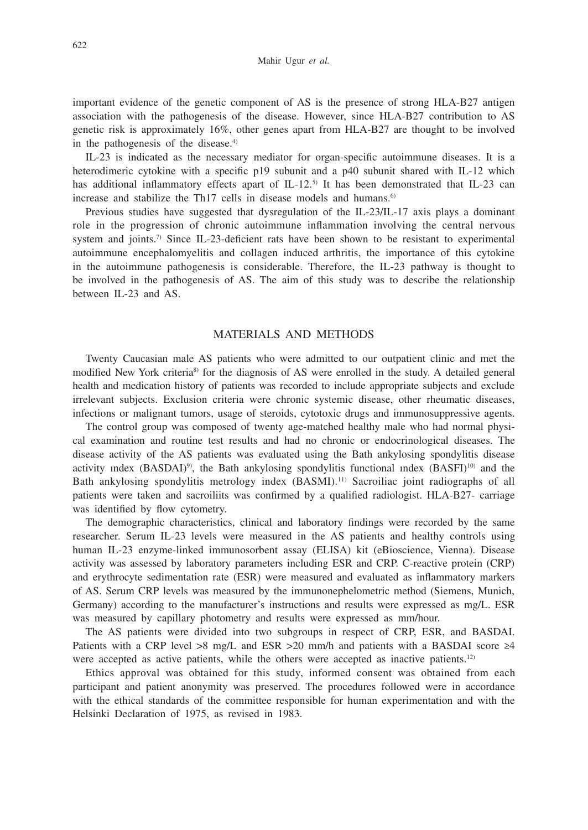important evidence of the genetic component of AS is the presence of strong HLA-B27 antigen association with the pathogenesis of the disease. However, since HLA-B27 contribution to AS genetic risk is approximately 16%, other genes apart from HLA-B27 are thought to be involved in the pathogenesis of the disease.<sup>4)</sup>

IL-23 is indicated as the necessary mediator for organ-specific autoimmune diseases. It is a heterodimeric cytokine with a specific p19 subunit and a p40 subunit shared with IL-12 which has additional inflammatory effects apart of IL-12.<sup>5)</sup> It has been demonstrated that IL-23 can increase and stabilize the Th17 cells in disease models and humans.<sup>6)</sup>

Previous studies have suggested that dysregulation of the IL-23/IL-17 axis plays a dominant role in the progression of chronic autoimmune inflammation involving the central nervous system and joints.<sup>7)</sup> Since IL-23-deficient rats have been shown to be resistant to experimental autoimmune encephalomyelitis and collagen induced arthritis, the importance of this cytokine in the autoimmune pathogenesis is considerable. Therefore, the IL-23 pathway is thought to be involved in the pathogenesis of AS. The aim of this study was to describe the relationship between IL-23 and AS.

### MATERIALS AND METHODS

Twenty Caucasian male AS patients who were admitted to our outpatient clinic and met the modified New York criteria<sup>8</sup> for the diagnosis of AS were enrolled in the study. A detailed general health and medication history of patients was recorded to include appropriate subjects and exclude irrelevant subjects. Exclusion criteria were chronic systemic disease, other rheumatic diseases, infections or malignant tumors, usage of steroids, cytotoxic drugs and immunosuppressive agents.

The control group was composed of twenty age-matched healthy male who had normal physical examination and routine test results and had no chronic or endocrinological diseases. The disease activity of the AS patients was evaluated using the Bath ankylosing spondylitis disease activity index  $(BASDAI)^{9}$ , the Bath ankylosing spondylitis functional index  $(BASFI)^{10}$  and the Bath ankylosing spondylitis metrology index (BASMI).<sup>11)</sup> Sacroiliac joint radiographs of all patients were taken and sacroiliits was confirmed by a qualified radiologist. HLA-B27- carriage was identified by flow cytometry.

The demographic characteristics, clinical and laboratory findings were recorded by the same researcher. Serum IL-23 levels were measured in the AS patients and healthy controls using human IL-23 enzyme-linked immunosorbent assay (ELISA) kit (eBioscience, Vienna). Disease activity was assessed by laboratory parameters including ESR and CRP. C-reactive protein (CRP) and erythrocyte sedimentation rate (ESR) were measured and evaluated as inflammatory markers of AS. Serum CRP levels was measured by the immunonephelometric method (Siemens, Munich, Germany) according to the manufacturer's instructions and results were expressed as mg/L. ESR was measured by capillary photometry and results were expressed as mm/hour.

The AS patients were divided into two subgroups in respect of CRP, ESR, and BASDAI. Patients with a CRP level >8 mg/L and ESR >20 mm/h and patients with a BASDAI score  $\geq 4$ were accepted as active patients, while the others were accepted as inactive patients.<sup>12)</sup>

Ethics approval was obtained for this study, informed consent was obtained from each participant and patient anonymity was preserved. The procedures followed were in accordance with the ethical standards of the committee responsible for human experimentation and with the Helsinki Declaration of 1975, as revised in 1983.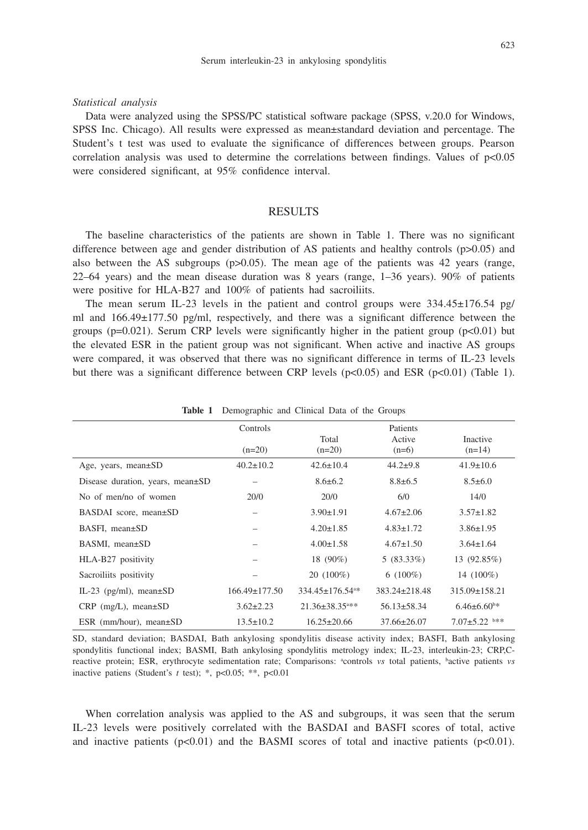#### *Statistical analysis*

Data were analyzed using the SPSS/PC statistical software package (SPSS, v.20.0 for Windows, SPSS Inc. Chicago). All results were expressed as mean±standard deviation and percentage. The Student's t test was used to evaluate the significance of differences between groups. Pearson correlation analysis was used to determine the correlations between findings. Values of  $p<0.05$ were considered significant, at 95% confidence interval.

### **RESULTS**

The baseline characteristics of the patients are shown in Table 1. There was no significant difference between age and gender distribution of AS patients and healthy controls  $(p>0.05)$  and also between the AS subgroups ( $p>0.05$ ). The mean age of the patients was 42 years (range, 22–64 years) and the mean disease duration was 8 years (range, 1–36 years). 90% of patients were positive for HLA-B27 and 100% of patients had sacroiliits.

The mean serum IL-23 levels in the patient and control groups were  $334.45 \pm 176.54$  pg/ ml and 166.49±177.50 pg/ml, respectively, and there was a significant difference between the groups ( $p=0.021$ ). Serum CRP levels were significantly higher in the patient group ( $p<0.01$ ) but the elevated ESR in the patient group was not significant. When active and inactive AS groups were compared, it was observed that there was no significant difference in terms of IL-23 levels but there was a significant difference between CRP levels ( $p<0.05$ ) and ESR ( $p<0.01$ ) (Table 1).

|                                  | Controls            |                                   | Patients            |                             |
|----------------------------------|---------------------|-----------------------------------|---------------------|-----------------------------|
|                                  | $(n=20)$            | Total<br>$(n=20)$                 | Active<br>$(n=6)$   | <b>Inactive</b><br>$(n=14)$ |
| Age, years, mean $\pm$ SD        | $40.2 \pm 10.2$     | $42.6 \pm 10.4$                   | $44.2 + 9.8$        | $41.9 \pm 10.6$             |
| Disease duration, years, mean±SD |                     | $8.6 \pm 6.2$                     | $8.8 \pm 6.5$       | $8.5 \pm 6.0$               |
| No of men/no of women            | 20/0                | 20/0                              | 6/0                 | 14/0                        |
| BASDAI score, mean±SD            |                     | $3.90 \pm 1.91$                   | $4.67 \pm 2.06$     | $3.57 \pm 1.82$             |
| $BASFI$ , mean $\pm SD$          |                     | $4.20 \pm 1.85$                   | $4.83 \pm 1.72$     | $3.86 \pm 1.95$             |
| BASMI, mean±SD                   |                     | $4.00 \pm 1.58$                   | $4.67 \pm 1.50$     | $3.64 \pm 1.64$             |
| HLA-B27 positivity               |                     | 18 (90%)                          | $5(83.33\%)$        | 13 (92.85%)                 |
| Sacroiliits positivity           |                     | $20(100\%)$                       | $6(100\%)$          | 14 (100%)                   |
| IL-23 ( $pg/ml$ ), mean $\pm SD$ | $166.49 \pm 177.50$ | $334.45 \pm 176.54$ <sup>a*</sup> | $383.24 \pm 218.48$ | $315.09 \pm 158.21$         |
| $CRP$ (mg/L), mean $\pm SD$      | $3.62 \pm 2.23$     | $21.36 \pm 38.35$ <sup>a**</sup>  | $56.13 \pm 58.34$   | $6.46\pm6.60^{\circ*}$      |
| ESR (mm/hour), mean $\pm$ SD     | $13.5 \pm 10.2$     | $16.25 \pm 20.66$                 | $37.66 \pm 26.07$   | $7.07 \pm 5.22$ b**         |

**Table 1** Demographic and Clinical Data of the Groups

SD, standard deviation; BASDAI, Bath ankylosing spondylitis disease activity index; BASFI, Bath ankylosing spondylitis functional index; BASMI, Bath ankylosing spondylitis metrology index; IL-23, interleukin-23; CRP,Creactive protein; ESR, erythrocyte sedimentation rate; Comparisons: <sup>a</sup>controls *vs* total patients, bactive patients *vs* inactive patiens (Student's *t* test); \*, p<0.05; \*\*, p<0.01

When correlation analysis was applied to the AS and subgroups, it was seen that the serum IL-23 levels were positively correlated with the BASDAI and BASFI scores of total, active and inactive patients  $(p<0.01)$  and the BASMI scores of total and inactive patients  $(p<0.01)$ .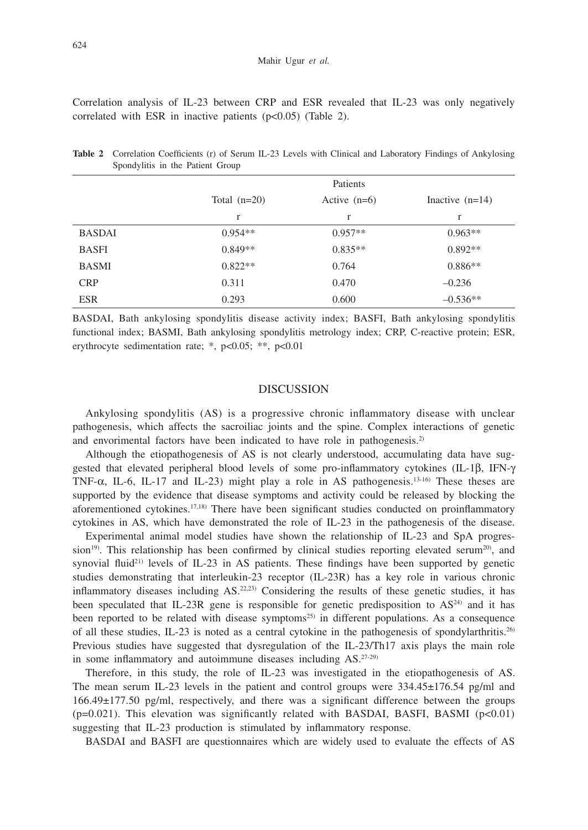Correlation analysis of IL-23 between CRP and ESR revealed that IL-23 was only negatively correlated with ESR in inactive patients  $(p<0.05)$  (Table 2).

|               | Patients       |                |                   |
|---------------|----------------|----------------|-------------------|
|               | Total $(n=20)$ | Active $(n=6)$ | Inactive $(n=14)$ |
|               | r              | r              | r                 |
| <b>BASDAI</b> | $0.954**$      | $0.957**$      | $0.963**$         |
| <b>BASFI</b>  | $0.849**$      | $0.835**$      | $0.892**$         |
| <b>BASMI</b>  | $0.822**$      | 0.764          | $0.886**$         |
| <b>CRP</b>    | 0.311          | 0.470          | $-0.236$          |
| <b>ESR</b>    | 0.293          | 0.600          | $-0.536**$        |

**Table 2** Correlation Coefficients (r) of Serum IL-23 Levels with Clinical and Laboratory Findings of Ankylosing Spondylitis in the Patient Group

BASDAI, Bath ankylosing spondylitis disease activity index; BASFI, Bath ankylosing spondylitis functional index; BASMI, Bath ankylosing spondylitis metrology index; CRP, C-reactive protein; ESR, erythrocyte sedimentation rate; \*, p<0.05; \*\*, p<0.01

### DISCUSSION

Ankylosing spondylitis (AS) is a progressive chronic inflammatory disease with unclear pathogenesis, which affects the sacroiliac joints and the spine. Complex interactions of genetic and envorimental factors have been indicated to have role in pathogenesis.<sup>2)</sup>

Although the etiopathogenesis of AS is not clearly understood, accumulating data have suggested that elevated peripheral blood levels of some pro-inflammatory cytokines (IL-1β, IFN-γ TNF- $\alpha$ , IL-6, IL-17 and IL-23) might play a role in AS pathogenesis.<sup>13-16</sup> These theses are supported by the evidence that disease symptoms and activity could be released by blocking the aforementioned cytokines.<sup>17,18)</sup> There have been significant studies conducted on proinflammatory cytokines in AS, which have demonstrated the role of IL-23 in the pathogenesis of the disease.

Experimental animal model studies have shown the relationship of IL-23 and SpA progres $s$ ion<sup>19)</sup>. This relationship has been confirmed by clinical studies reporting elevated serum<sup>20</sup>), and synovial fluid<sup>21)</sup> levels of IL-23 in AS patients. These findings have been supported by genetic studies demonstrating that interleukin-23 receptor (IL-23R) has a key role in various chronic inflammatory diseases including  $AS$ <sup>22,23</sup>) Considering the results of these genetic studies, it has been speculated that IL-23R gene is responsible for genetic predisposition to  $AS<sup>24</sup>$  and it has been reported to be related with disease symptoms<sup>25)</sup> in different populations. As a consequence of all these studies, IL-23 is noted as a central cytokine in the pathogenesis of spondylarthritis.26) Previous studies have suggested that dysregulation of the IL-23/Th17 axis plays the main role in some inflammatory and autoimmune diseases including AS.27-29)

Therefore, in this study, the role of IL-23 was investigated in the etiopathogenesis of AS. The mean serum IL-23 levels in the patient and control groups were 334.45±176.54 pg/ml and 166.49±177.50 pg/ml, respectively, and there was a significant difference between the groups  $(p=0.021)$ . This elevation was significantly related with BASDAI, BASFI, BASMI  $(p<0.01)$ suggesting that IL-23 production is stimulated by inflammatory response.

BASDAI and BASFI are questionnaires which are widely used to evaluate the effects of AS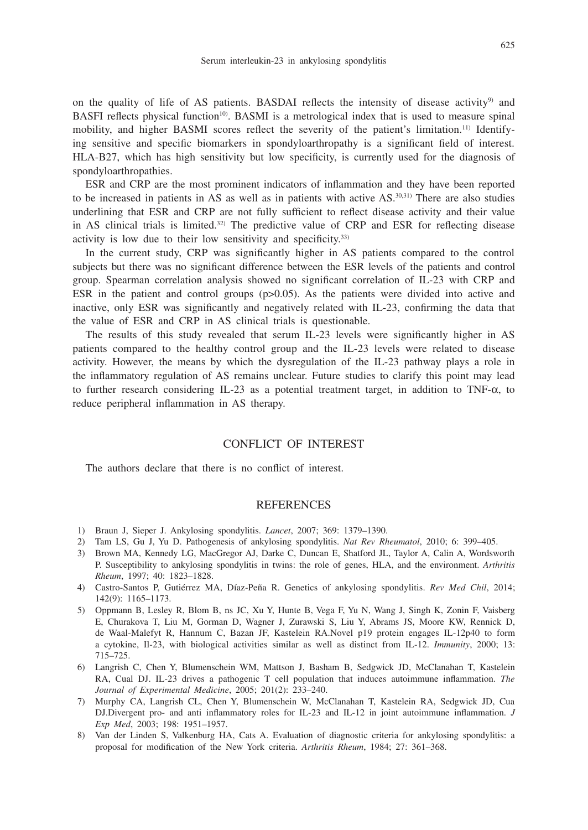on the quality of life of AS patients. BASDAI reflects the intensity of disease activity<sup>9</sup> and BASFI reflects physical function<sup>10</sup>. BASMI is a metrological index that is used to measure spinal mobility, and higher BASMI scores reflect the severity of the patient's limitation.11) Identifying sensitive and specific biomarkers in spondyloarthropathy is a significant field of interest. HLA-B27, which has high sensitivity but low specificity, is currently used for the diagnosis of spondyloarthropathies.

ESR and CRP are the most prominent indicators of inflammation and they have been reported to be increased in patients in AS as well as in patients with active AS.30,31) There are also studies underlining that ESR and CRP are not fully sufficient to reflect disease activity and their value in AS clinical trials is limited.32) The predictive value of CRP and ESR for reflecting disease activity is low due to their low sensitivity and specificity.33)

In the current study, CRP was significantly higher in AS patients compared to the control subjects but there was no significant difference between the ESR levels of the patients and control group. Spearman correlation analysis showed no significant correlation of IL-23 with CRP and ESR in the patient and control groups  $(p>0.05)$ . As the patients were divided into active and inactive, only ESR was significantly and negatively related with IL-23, confirming the data that the value of ESR and CRP in AS clinical trials is questionable.

The results of this study revealed that serum IL-23 levels were significantly higher in AS patients compared to the healthy control group and the IL-23 levels were related to disease activity. However, the means by which the dysregulation of the IL-23 pathway plays a role in the inflammatory regulation of AS remains unclear. Future studies to clarify this point may lead to further research considering IL-23 as a potential treatment target, in addition to TNF-α, to reduce peripheral inflammation in AS therapy.

## CONFLICT OF INTEREST

The authors declare that there is no conflict of interest.

## **REFERENCES**

- 1) Braun J, Sieper J. Ankylosing spondylitis. *Lancet*, 2007; 369: 1379–1390.
- 2) Tam LS, Gu J, Yu D. Pathogenesis of ankylosing spondylitis. *Nat Rev Rheumatol*, 2010; 6: 399–405.
- 3) Brown MA, Kennedy LG, MacGregor AJ, Darke C, Duncan E, Shatford JL, Taylor A, Calin A, Wordsworth P. Susceptibility to ankylosing spondylitis in twins: the role of genes, HLA, and the environment. *Arthritis Rheum*, 1997; 40: 1823–1828.
- 4) Castro-Santos P, Gutiérrez MA, Díaz-Peña R. Genetics of ankylosing spondylitis. *Rev Med Chil*, 2014; 142(9): 1165–1173.
- 5) Oppmann B, Lesley R, Blom B, ns JC, Xu Y, Hunte B, Vega F, Yu N, Wang J, Singh K, Zonin F, Vaisberg E, Churakova T, Liu M, Gorman D, Wagner J, Zurawski S, Liu Y, Abrams JS, Moore KW, Rennick D, de Waal-Malefyt R, Hannum C, Bazan JF, Kastelein RA.Novel p19 protein engages IL-12p40 to form a cytokine, Il-23, with biological activities similar as well as distinct from IL-12. *Immunity*, 2000; 13: 715–725.
- 6) Langrish C, Chen Y, Blumenschein WM, Mattson J, Basham B, Sedgwick JD, McClanahan T, Kastelein RA, Cual DJ. IL-23 drives a pathogenic T cell population that induces autoimmune inflammation. *The Journal of Experimental Medicine*, 2005; 201(2): 233–240.
- 7) Murphy CA, Langrish CL, Chen Y, Blumenschein W, McClanahan T, Kastelein RA, Sedgwick JD, Cua DJ.Divergent pro- and anti inflammatory roles for IL-23 and IL-12 in joint autoimmune inflammation. *J Exp Med*, 2003; 198: 1951–1957.
- 8) Van der Linden S, Valkenburg HA, Cats A. Evaluation of diagnostic criteria for ankylosing spondylitis: a proposal for modification of the New York criteria. *Arthritis Rheum*, 1984; 27: 361–368.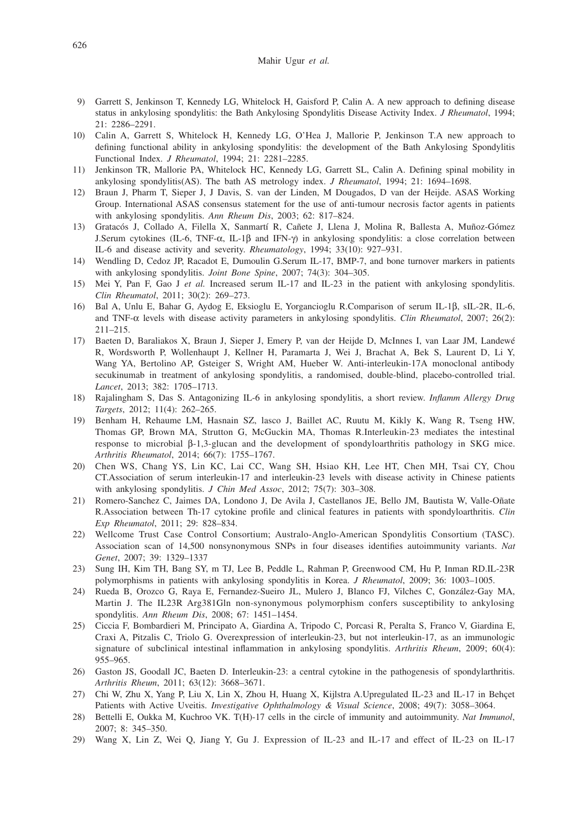#### Mahir Ugur *et al.*

- 9) Garrett S, Jenkinson T, Kennedy LG, Whitelock H, Gaisford P, Calin A. A new approach to defining disease status in ankylosing spondylitis: the Bath Ankylosing Spondylitis Disease Activity Index. *J Rheumatol*, 1994; 21: 2286–2291.
- 10) Calin A, Garrett S, Whitelock H, Kennedy LG, O'Hea J, Mallorie P, Jenkinson T.A new approach to defining functional ability in ankylosing spondylitis: the development of the Bath Ankylosing Spondylitis Functional Index. *J Rheumatol*, 1994; 21: 2281–2285.
- 11) Jenkinson TR, Mallorie PA, Whitelock HC, Kennedy LG, Garrett SL, Calin A. Defining spinal mobility in ankylosing spondylitis(AS). The bath AS metrology index. *J Rheumatol*, 1994; 21: 1694–1698.
- 12) Braun J, Pharm T, Sieper J, J Davis, S. van der Linden, M Dougados, D van der Heijde. ASAS Working Group. International ASAS consensus statement for the use of anti-tumour necrosis factor agents in patients with ankylosing spondylitis. *Ann Rheum Dis*, 2003; 62: 817–824.
- 13) Gratacós J, Collado A, Filella X, Sanmartí R, Cañete J, Llena J, Molina R, Ballesta A, Muñoz-Gómez J.Serum cytokines (IL-6, TNF-α, IL-1β and IFN-γ) in ankylosing spondylitis: a close correlation between IL-6 and disease activity and severity. *Rheumatology*, 1994; 33(10): 927–931.
- 14) Wendling D, Cedoz JP, Racadot E, Dumoulin G.Serum IL-17, BMP-7, and bone turnover markers in patients with ankylosing spondylitis. *Joint Bone Spine*, 2007; 74(3): 304–305.
- 15) Mei Y, Pan F, Gao J *et al.* Increased serum IL-17 and IL-23 in the patient with ankylosing spondylitis. *Clin Rheumatol*, 2011; 30(2): 269–273.
- 16) Bal A, Unlu E, Bahar G, Aydog E, Eksioglu E, Yorgancioglu R.Comparison of serum IL-1β, sIL-2R, IL-6, and TNF-α levels with disease activity parameters in ankylosing spondylitis. *Clin Rheumatol*, 2007; 26(2): 211–215.
- 17) Baeten D, Baraliakos X, Braun J, Sieper J, Emery P, van der Heijde D, McInnes I, van Laar JM, Landewé R, Wordsworth P, Wollenhaupt J, Kellner H, Paramarta J, Wei J, Brachat A, Bek S, Laurent D, Li Y, Wang YA, Bertolino AP, Gsteiger S, Wright AM, Hueber W. Anti-interleukin-17A monoclonal antibody secukinumab in treatment of ankylosing spondylitis, a randomised, double-blind, placebo-controlled trial. *Lancet*, 2013; 382: 1705–1713.
- 18) Rajalingham S, Das S. Antagonizing IL-6 in ankylosing spondylitis, a short review. *Inflamm Allergy Drug Targets*, 2012; 11(4): 262–265.
- 19) Benham H, Rehaume LM, Hasnain SZ, lasco J, Baillet AC, Ruutu M, Kikly K, Wang R, Tseng HW, Thomas GP, Brown MA, Strutton G, McGuckin MA, Thomas R.Interleukin-23 mediates the intestinal response to microbial β-1,3-glucan and the development of spondyloarthritis pathology in SKG mice. *Arthritis Rheumatol*, 2014; 66(7): 1755–1767.
- 20) Chen WS, Chang YS, Lin KC, Lai CC, Wang SH, Hsiao KH, Lee HT, Chen MH, Tsai CY, Chou CT.Association of serum interleukin-17 and interleukin-23 levels with disease activity in Chinese patients with ankylosing spondylitis. *J Chin Med Assoc*, 2012; 75(7): 303–308.
- 21) Romero-Sanchez C, Jaimes DA, Londono J, De Avila J, Castellanos JE, Bello JM, Bautista W, Valle-Oñate R.Association between Th-17 cytokine profile and clinical features in patients with spondyloarthritis. *Clin Exp Rheumatol*, 2011; 29: 828–834.
- 22) Wellcome Trust Case Control Consortium; Australo-Anglo-American Spondylitis Consortium (TASC). Association scan of 14,500 nonsynonymous SNPs in four diseases identifies autoimmunity variants. *Nat Genet*, 2007; 39: 1329–1337
- 23) Sung IH, Kim TH, Bang SY, m TJ, Lee B, Peddle L, Rahman P, Greenwood CM, Hu P, Inman RD.IL-23R polymorphisms in patients with ankylosing spondylitis in Korea. *J Rheumatol*, 2009; 36: 1003–1005.
- 24) Rueda B, Orozco G, Raya E, Fernandez-Sueiro JL, Mulero J, Blanco FJ, Vilches C, González-Gay MA, Martin J. The IL23R Arg381Gln non-synonymous polymorphism confers susceptibility to ankylosing spondylitis. *Ann Rheum Dis*, 2008; 67: 1451–1454.
- 25) Ciccia F, Bombardieri M, Principato A, Giardina A, Tripodo C, Porcasi R, Peralta S, Franco V, Giardina E, Craxi A, Pitzalis C, Triolo G. Overexpression of interleukin-23, but not interleukin-17, as an immunologic signature of subclinical intestinal inflammation in ankylosing spondylitis. *Arthritis Rheum*, 2009; 60(4): 955–965.
- 26) Gaston JS, Goodall JC, Baeten D. Interleukin-23: a central cytokine in the pathogenesis of spondylarthritis. *Arthritis Rheum*, 2011; 63(12): 3668–3671.
- 27) Chi W, Zhu X, Yang P, Liu X, Lin X, Zhou H, Huang X, Kijlstra A.Upregulated IL-23 and IL-17 in Behçet Patients with Active Uveitis. *Investigative Ophthalmology & Visual Science*, 2008; 49(7): 3058–3064.
- 28) Bettelli E, Oukka M, Kuchroo VK. T(H)-17 cells in the circle of immunity and autoimmunity. *Nat Immunol*, 2007; 8: 345–350.
- 29) Wang X, Lin Z, Wei Q, Jiang Y, Gu J. Expression of IL-23 and IL-17 and effect of IL-23 on IL-17